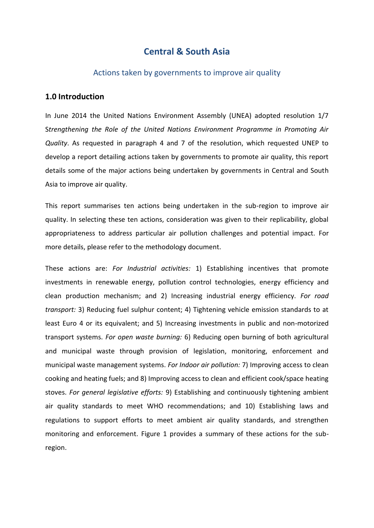## **Central & South Asia**

### Actions taken by governments to improve air quality

### **1.0 Introduction**

In June 2014 the United Nations Environment Assembly (UNEA) adopted resolution 1/7 S*trengthening the Role of the United Nations Environment Programme in Promoting Air Quality*. As requested in paragraph 4 and 7 of the resolution, which requested UNEP to develop a report detailing actions taken by governments to promote air quality, this report details some of the major actions being undertaken by governments in Central and South Asia to improve air quality.

This report summarises ten actions being undertaken in the sub-region to improve air quality. In selecting these ten actions, consideration was given to their replicability, global appropriateness to address particular air pollution challenges and potential impact. For more details, please refer to the methodology document.

These actions are: *For Industrial activities:* 1) Establishing incentives that promote investments in renewable energy, pollution control technologies, energy efficiency and clean production mechanism; and 2) Increasing industrial energy efficiency. *For road transport:* 3) Reducing fuel sulphur content; 4) Tightening vehicle emission standards to at least Euro 4 or its equivalent; and 5) Increasing investments in public and non-motorized transport systems. *For open waste burning:* 6) Reducing open burning of both agricultural and municipal waste through provision of legislation, monitoring, enforcement and municipal waste management systems. *For Indoor air pollution:* 7) Improving access to clean cooking and heating fuels; and 8) Improving access to clean and efficient cook/space heating stoves. *For general legislative efforts:* 9) Establishing and continuously tightening ambient air quality standards to meet WHO recommendations; and 10) Establishing laws and regulations to support efforts to meet ambient air quality standards, and strengthen monitoring and enforcement. Figure 1 provides a summary of these actions for the subregion.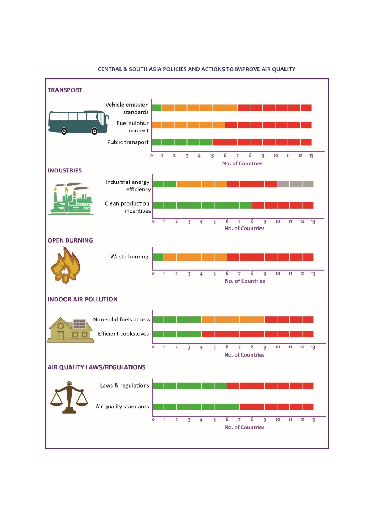

#### CENTRAL & SOUTH ASIA POLICIES AND ACTIONS TO IMPROVE AIR QUALITY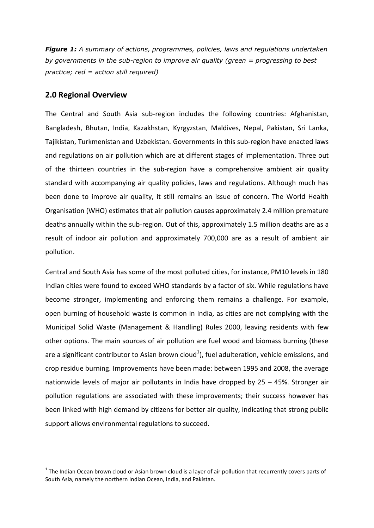*Figure 1: A summary of actions, programmes, policies, laws and regulations undertaken by governments in the sub-region to improve air quality (green = progressing to best practice; red = action still required)*

### **2.0 Regional Overview**

1

The Central and South Asia sub-region includes the following countries: Afghanistan, Bangladesh, Bhutan, India, Kazakhstan, Kyrgyzstan, Maldives, Nepal, Pakistan, Sri Lanka, Tajikistan, Turkmenistan and Uzbekistan. Governments in this sub-region have enacted laws and regulations on air pollution which are at different stages of implementation. Three out of the thirteen countries in the sub-region have a comprehensive ambient air quality standard with accompanying air quality policies, laws and regulations. Although much has been done to improve air quality, it still remains an issue of concern. The World Health Organisation (WHO) estimates that air pollution causes approximately 2.4 million premature deaths annually within the sub-region. Out of this, approximately 1.5 million deaths are as a result of indoor air pollution and approximately 700,000 are as a result of ambient air pollution.

Central and South Asia has some of the most polluted cities, for instance, PM10 levels in 180 Indian cities were found to exceed WHO standards by a factor of six. While regulations have become stronger, implementing and enforcing them remains a challenge. For example, open burning of household waste is common in India, as cities are not complying with the Municipal Solid Waste (Management & Handling) Rules 2000, leaving residents with few other options. The main sources of air pollution are fuel wood and biomass burning (these are a significant contributor to Asian brown cloud<sup>1</sup>), fuel adulteration, vehicle emissions, and crop residue burning. Improvements have been made: between 1995 and 2008, the average nationwide levels of major air pollutants in India have dropped by 25 – 45%. Stronger air pollution regulations are associated with these improvements; their success however has been linked with high demand by citizens for better air quality, indicating that strong public support allows environmental regulations to succeed.

 $1$  The Indian Ocean brown cloud or Asian brown cloud is a layer of air pollution that recurrently covers parts of South Asia, namely the northern Indian Ocean, India, and Pakistan.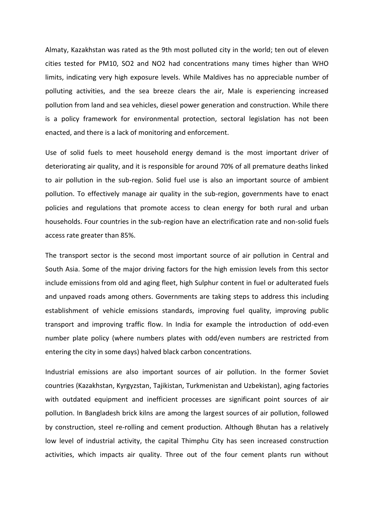Almaty, Kazakhstan was rated as the 9th most polluted city in the world; ten out of eleven cities tested for PM10, SO2 and NO2 had concentrations many times higher than WHO limits, indicating very high exposure levels. While Maldives has no appreciable number of polluting activities, and the sea breeze clears the air, Male is experiencing increased pollution from land and sea vehicles, diesel power generation and construction. While there is a policy framework for environmental protection, sectoral legislation has not been enacted, and there is a lack of monitoring and enforcement.

Use of solid fuels to meet household energy demand is the most important driver of deteriorating air quality, and it is responsible for around 70% of all premature deaths linked to air pollution in the sub-region. Solid fuel use is also an important source of ambient pollution. To effectively manage air quality in the sub-region, governments have to enact policies and regulations that promote access to clean energy for both rural and urban households. Four countries in the sub-region have an electrification rate and non-solid fuels access rate greater than 85%.

The transport sector is the second most important source of air pollution in Central and South Asia. Some of the major driving factors for the high emission levels from this sector include emissions from old and aging fleet, high Sulphur content in fuel or adulterated fuels and unpaved roads among others. Governments are taking steps to address this including establishment of vehicle emissions standards, improving fuel quality, improving public transport and improving traffic flow. In India for example the introduction of odd-even number plate policy (where numbers plates with odd/even numbers are restricted from entering the city in some days) halved black carbon concentrations.

Industrial emissions are also important sources of air pollution. In the former Soviet countries (Kazakhstan, Kyrgyzstan, Tajikistan, Turkmenistan and Uzbekistan), aging factories with outdated equipment and inefficient processes are significant point sources of air pollution. In Bangladesh brick kilns are among the largest sources of air pollution, followed by construction, steel re-rolling and cement production. Although Bhutan has a relatively low level of industrial activity, the capital Thimphu City has seen increased construction activities, which impacts air quality. Three out of the four cement plants run without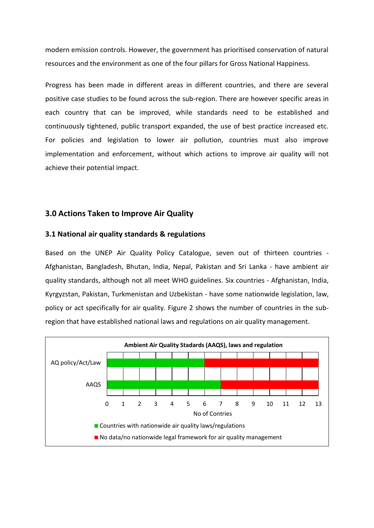modern emission controls. However, the government has prioritised conservation of natural resources and the environment as one of the four pillars for Gross National Happiness.

Progress has been made in different areas in different countries, and there are several positive case studies to be found across the sub-region. There are however specific areas in each country that can be improved, while standards need to be established and continuously tightened, public transport expanded, the use of best practice increased etc. For policies and legislation to lower air pollution, countries must also improve implementation and enforcement, without which actions to improve air quality will not achieve their potential impact.

### **3.0 Actions Taken to Improve Air Quality**

#### **3.1 National air quality standards & regulations**

Based on the UNEP Air Quality Policy Catalogue, seven out of thirteen countries - Afghanistan, Bangladesh, Bhutan, India, Nepal, Pakistan and Sri Lanka - have ambient air quality standards, although not all meet WHO guidelines. Six countries - Afghanistan, India, Kyrgyzstan, Pakistan, Turkmenistan and Uzbekistan - have some nationwide legislation, law, policy or act specifically for air quality. Figure 2 shows the number of countries in the subregion that have established national laws and regulations on air quality management.

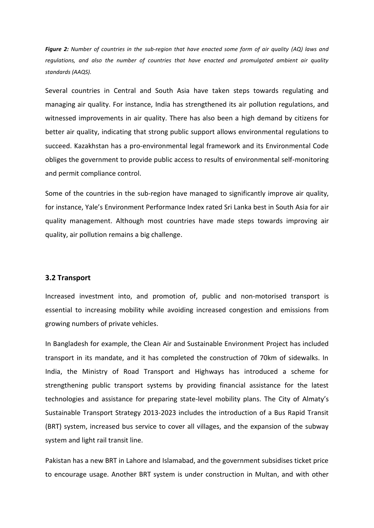*Figure 2: Number of countries in the sub-region that have enacted some form of air quality (AQ) laws and regulations, and also the number of countries that have enacted and promulgated ambient air quality standards (AAQS).*

Several countries in Central and South Asia have taken steps towards regulating and managing air quality. For instance, India has strengthened its air pollution regulations, and witnessed improvements in air quality. There has also been a high demand by citizens for better air quality, indicating that strong public support allows environmental regulations to succeed. Kazakhstan has a pro-environmental legal framework and its Environmental Code obliges the government to provide public access to results of environmental self-monitoring and permit compliance control.

Some of the countries in the sub-region have managed to significantly improve air quality, for instance, Yale's Environment Performance Index rated Sri Lanka best in South Asia for air quality management. Although most countries have made steps towards improving air quality, air pollution remains a big challenge.

#### **3.2 Transport**

Increased investment into, and promotion of, public and non-motorised transport is essential to increasing mobility while avoiding increased congestion and emissions from growing numbers of private vehicles.

In Bangladesh for example, the Clean Air and Sustainable Environment Project has included transport in its mandate, and it has completed the construction of 70km of sidewalks. In India, the Ministry of Road Transport and Highways has introduced a scheme for strengthening public transport systems by providing financial assistance for the latest technologies and assistance for preparing state-level mobility plans. The City of Almaty's Sustainable Transport Strategy 2013-2023 includes the introduction of a Bus Rapid Transit (BRT) system, increased bus service to cover all villages, and the expansion of the subway system and light rail transit line.

Pakistan has a new BRT in Lahore and Islamabad, and the government subsidises ticket price to encourage usage. Another BRT system is under construction in Multan, and with other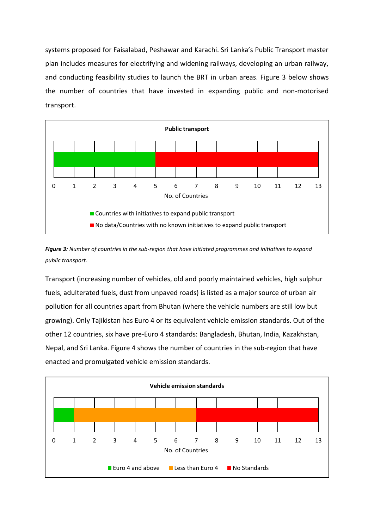systems proposed for Faisalabad, Peshawar and Karachi. Sri Lanka's Public Transport master plan includes measures for electrifying and widening railways, developing an urban railway, and conducting feasibility studies to launch the BRT in urban areas. Figure 3 below shows the number of countries that have invested in expanding public and non-motorised transport.



*Figure 3: Number of countries in the sub-region that have initiated programmes and initiatives to expand public transport.*

Transport (increasing number of vehicles, old and poorly maintained vehicles, high sulphur fuels, adulterated fuels, dust from unpaved roads) is listed as a major source of urban air pollution for all countries apart from Bhutan (where the vehicle numbers are still low but growing). Only Tajikistan has Euro 4 or its equivalent vehicle emission standards. Out of the other 12 countries, six have pre-Euro 4 standards: Bangladesh, Bhutan, India, Kazakhstan, Nepal, and Sri Lanka. Figure 4 shows the number of countries in the sub-region that have enacted and promulgated vehicle emission standards.

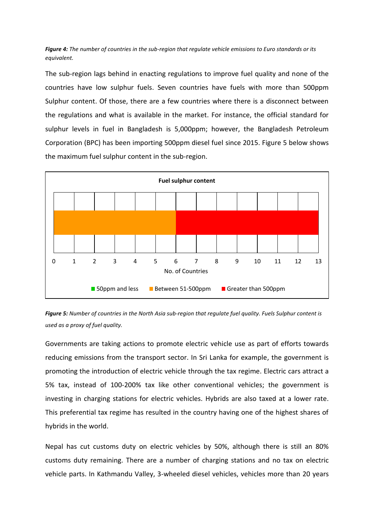*Figure 4: The number of countries in the sub-region that regulate vehicle emissions to Euro standards or its equivalent.*

The sub-region lags behind in enacting regulations to improve fuel quality and none of the countries have low sulphur fuels. Seven countries have fuels with more than 500ppm Sulphur content. Of those, there are a few countries where there is a disconnect between the regulations and what is available in the market. For instance, the official standard for sulphur levels in fuel in Bangladesh is 5,000ppm; however, the Bangladesh Petroleum Corporation (BPC) has been importing 500ppm diesel fuel since 2015. Figure 5 below shows the maximum fuel sulphur content in the sub-region.



*Figure 5: Number of countries in the North Asia sub-region that regulate fuel quality. Fuels Sulphur content is used as a proxy of fuel quality.*

Governments are taking actions to promote electric vehicle use as part of efforts towards reducing emissions from the transport sector. In Sri Lanka for example, the government is promoting the introduction of electric vehicle through the tax regime. Electric cars attract a 5% tax, instead of 100-200% tax like other conventional vehicles; the government is investing in charging stations for electric vehicles. Hybrids are also taxed at a lower rate. This preferential tax regime has resulted in the country having one of the highest shares of hybrids in the world.

Nepal has cut customs duty on electric vehicles by 50%, although there is still an 80% customs duty remaining. There are a number of charging stations and no tax on electric vehicle parts. In Kathmandu Valley, 3-wheeled diesel vehicles, vehicles more than 20 years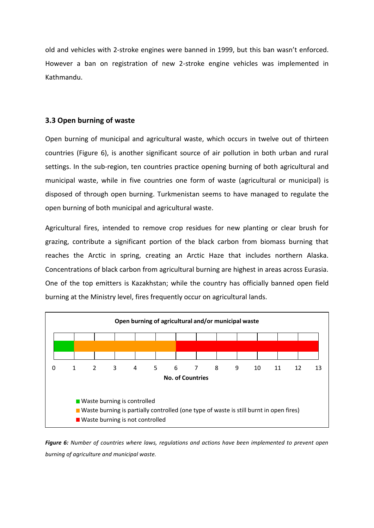old and vehicles with 2-stroke engines were banned in 1999, but this ban wasn't enforced. However a ban on registration of new 2-stroke engine vehicles was implemented in Kathmandu.

## **3.3 Open burning of waste**

Open burning of municipal and agricultural waste, which occurs in twelve out of thirteen countries (Figure 6), is another significant source of air pollution in both urban and rural settings. In the sub-region, ten countries practice opening burning of both agricultural and municipal waste, while in five countries one form of waste (agricultural or municipal) is disposed of through open burning. Turkmenistan seems to have managed to regulate the open burning of both municipal and agricultural waste.

Agricultural fires, intended to remove crop residues for new planting or clear brush for grazing, contribute a significant portion of the black carbon from biomass burning that reaches the Arctic in spring, creating an Arctic Haze that includes northern Alaska. Concentrations of black carbon from agricultural burning are highest in areas across Eurasia. One of the top emitters is Kazakhstan; while the country has officially banned open field burning at the Ministry level, fires frequently occur on agricultural lands.



*Figure 6: Number of countries where laws, regulations and actions have been implemented to prevent open burning of agriculture and municipal waste.*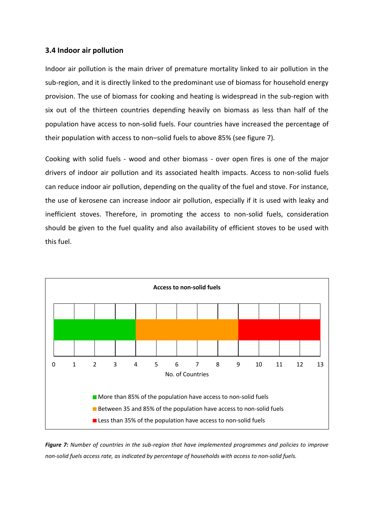### **3.4 Indoor air pollution**

Indoor air pollution is the main driver of premature mortality linked to air pollution in the sub-region, and it is directly linked to the predominant use of biomass for household energy provision. The use of biomass for cooking and heating is widespread in the sub-region with six out of the thirteen countries depending heavily on biomass as less than half of the population have access to non-solid fuels. Four countries have increased the percentage of their population with access to non–solid fuels to above 85% (see figure 7).

Cooking with solid fuels - wood and other biomass - over open fires is one of the major drivers of indoor air pollution and its associated health impacts. Access to non-solid fuels can reduce indoor air pollution, depending on the quality of the fuel and stove. For instance, the use of kerosene can increase indoor air pollution, especially if it is used with leaky and inefficient stoves. Therefore, in promoting the access to non-solid fuels, consideration should be given to the fuel quality and also availability of efficient stoves to be used with this fuel.



*Figure 7: Number of countries in the sub-region that have implemented programmes and policies to improve non-solid fuels access rate, as indicated by percentage of households with access to non-solid fuels.*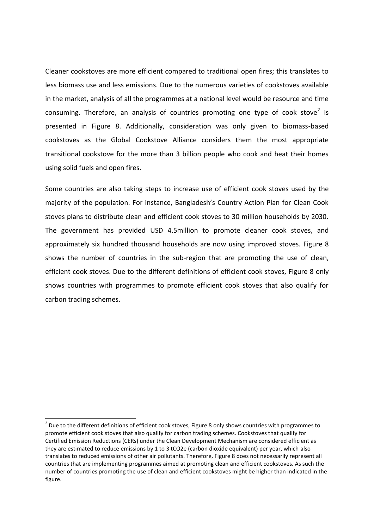Cleaner cookstoves are more efficient compared to traditional open fires; this translates to less biomass use and less emissions. Due to the numerous varieties of cookstoves available in the market, analysis of all the programmes at a national level would be resource and time consuming. Therefore, an analysis of countries promoting one type of cook stove<sup>2</sup> is presented in Figure 8. Additionally, consideration was only given to biomass-based cookstoves as the Global Cookstove Alliance considers them the most appropriate transitional cookstove for the more than 3 billion people who cook and heat their homes using solid fuels and open fires.

Some countries are also taking steps to increase use of efficient cook stoves used by the majority of the population. For instance, Bangladesh's Country Action Plan for Clean Cook stoves plans to distribute clean and efficient cook stoves to 30 million households by 2030. The government has provided USD 4.5million to promote cleaner cook stoves, and approximately six hundred thousand households are now using improved stoves. Figure 8 shows the number of countries in the sub-region that are promoting the use of clean, efficient cook stoves. Due to the different definitions of efficient cook stoves, Figure 8 only shows countries with programmes to promote efficient cook stoves that also qualify for carbon trading schemes.

1

 $2$  Due to the different definitions of efficient cook stoves, Figure 8 only shows countries with programmes to promote efficient cook stoves that also qualify for carbon trading schemes. Cookstoves that qualify for Certified Emission Reductions (CERs) under the Clean Development Mechanism are considered efficient as they are estimated to reduce emissions by 1 to 3 tCO2e (carbon dioxide equivalent) per year, which also translates to reduced emissions of other air pollutants. Therefore, Figure 8 does not necessarily represent all countries that are implementing programmes aimed at promoting clean and efficient cookstoves. As such the number of countries promoting the use of clean and efficient cookstoves might be higher than indicated in the figure.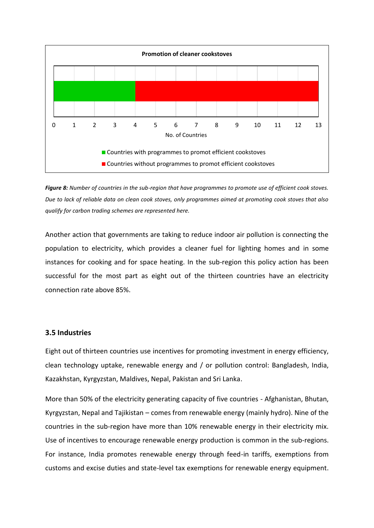

*Figure 8: Number of countries in the sub-region that have programmes to promote use of efficient cook stoves. Due to lack of reliable data on clean cook stoves, only programmes aimed at promoting cook stoves that also qualify for carbon trading schemes are represented here.*

Another action that governments are taking to reduce indoor air pollution is connecting the population to electricity, which provides a cleaner fuel for lighting homes and in some instances for cooking and for space heating. In the sub-region this policy action has been successful for the most part as eight out of the thirteen countries have an electricity connection rate above 85%.

### **3.5 Industries**

Eight out of thirteen countries use incentives for promoting investment in energy efficiency, clean technology uptake, renewable energy and / or pollution control: Bangladesh, India, Kazakhstan, Kyrgyzstan, Maldives, Nepal, Pakistan and Sri Lanka.

More than 50% of the electricity generating capacity of five countries - Afghanistan, Bhutan, Kyrgyzstan, Nepal and Tajikistan – comes from renewable energy (mainly hydro). Nine of the countries in the sub-region have more than 10% renewable energy in their electricity mix. Use of incentives to encourage renewable energy production is common in the sub-regions. For instance, India promotes renewable energy through feed-in tariffs, exemptions from customs and excise duties and state-level tax exemptions for renewable energy equipment.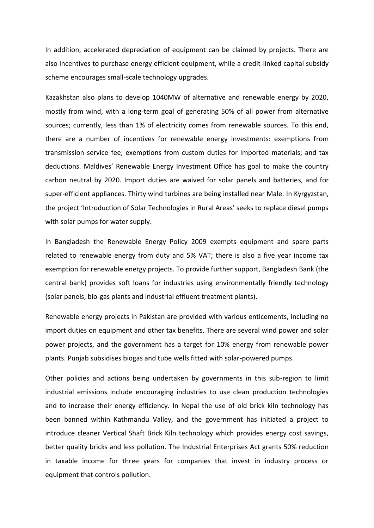In addition, accelerated depreciation of equipment can be claimed by projects. There are also incentives to purchase energy efficient equipment, while a credit-linked capital subsidy scheme encourages small-scale technology upgrades.

Kazakhstan also plans to develop 1040MW of alternative and renewable energy by 2020, mostly from wind, with a long-term goal of generating 50% of all power from alternative sources; currently, less than 1% of electricity comes from renewable sources. To this end, there are a number of incentives for renewable energy investments: exemptions from transmission service fee; exemptions from custom duties for imported materials; and tax deductions. Maldives' Renewable Energy Investment Office has goal to make the country carbon neutral by 2020. Import duties are waived for solar panels and batteries, and for super-efficient appliances. Thirty wind turbines are being installed near Male. In Kyrgyzstan, the project 'Introduction of Solar Technologies in Rural Areas' seeks to replace diesel pumps with solar pumps for water supply.

In Bangladesh the Renewable Energy Policy 2009 exempts equipment and spare parts related to renewable energy from duty and 5% VAT; there is also a five year income tax exemption for renewable energy projects. To provide further support, Bangladesh Bank (the central bank) provides soft loans for industries using environmentally friendly technology (solar panels, bio-gas plants and industrial effluent treatment plants).

Renewable energy projects in Pakistan are provided with various enticements, including no import duties on equipment and other tax benefits. There are several wind power and solar power projects, and the government has a target for 10% energy from renewable power plants. Punjab subsidises biogas and tube wells fitted with solar-powered pumps.

Other policies and actions being undertaken by governments in this sub-region to limit industrial emissions include encouraging industries to use clean production technologies and to increase their energy efficiency. In Nepal the use of old brick kiln technology has been banned within Kathmandu Valley, and the government has initiated a project to introduce cleaner Vertical Shaft Brick Kiln technology which provides energy cost savings, better quality bricks and less pollution. The Industrial Enterprises Act grants 50% reduction in taxable income for three years for companies that invest in industry process or equipment that controls pollution.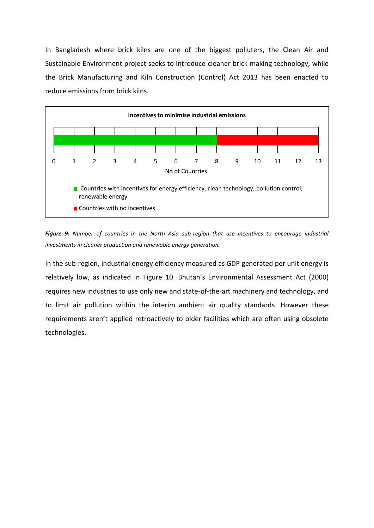In Bangladesh where brick kilns are one of the biggest polluters, the Clean Air and Sustainable Environment project seeks to introduce cleaner brick making technology, while the Brick Manufacturing and Kiln Construction (Control) Act 2013 has been enacted to reduce emissions from brick kilns.



*Figure 9: Number of countries in the North Asia sub-region that use incentives to encourage industrial investments in cleaner production and renewable energy generation.*

In the sub-region, industrial energy efficiency measured as GDP generated per unit energy is relatively low, as indicated in Figure 10. Bhutan's Environmental Assessment Act (2000) requires new industries to use only new and state-of-the-art machinery and technology, and to limit air pollution within the interim ambient air quality standards. However these requirements aren't applied retroactively to older facilities which are often using obsolete technologies.